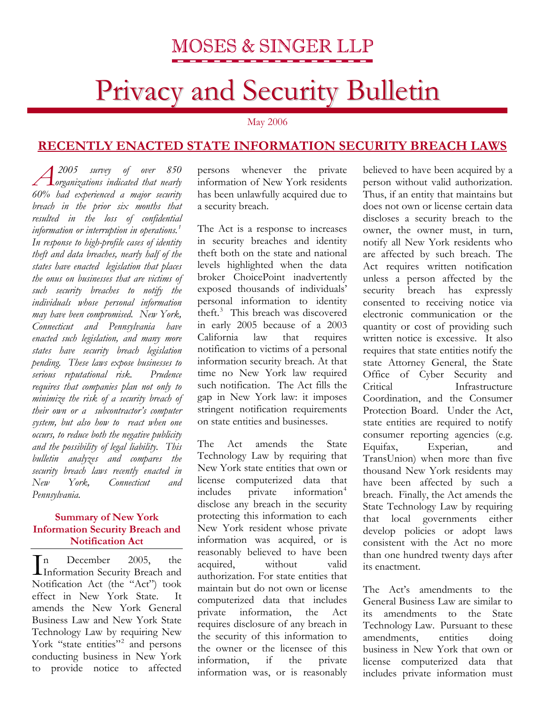# Privacy and Security Bulletin

May 2006

### **RECENTLY ENACTED STATE INFORMATION SECURITY BREACH LAWS**

 *2005 survey of over 850 organizations indicated that nearly 60% had experienced a major security breach in the prior six months that resulted in the loss of confidential information or interruption in operations.[1](#page-2-0) In response to high-profile cases of identity theft and data breaches, nearly half of the states have enacted legislation that places the onus on businesses that are victims of such security breaches to notify the individuals whose personal information may have been compromised. New York, Connecticut and Pennsylvania have enacted such legislation, and many more states have security breach legislation pending. These laws expose businesses to serious reputational risk. Prudence requires that companies plan not only to minimize the risk of a security breach of their own or a subcontractor's computer system, but also how to react when one occurs, to reduce both the negative publicity and the possibility of legal liability. This bulletin analyzes and compares the security breach laws recently enacted in New York, Connecticut and Pennsylvania.* 

### **Summary of New York Information Security Breach and Notification Act**

n December 2005, the Information Security Breach and Notification Act (the "Act") took effect in New York State. It amends the New York General Business Law and New York State Technology Law by requiring New York "state entities"<sup>[2](#page-2-1)</sup> and persons conducting business in New York to provide notice to affected  $\prod_{\text{In}}^{\text{n}}$ 

persons whenever the private information of New York residents has been unlawfully acquired due to a security breach.

The Act is a response to increases in security breaches and identity theft both on the state and national levels highlighted when the data broker ChoicePoint inadvertently exposed thousands of individuals' personal information to identity theft.<sup>[3](#page-2-1)</sup> This breach was discovered in early 2005 because of a 2003 California law that requires notification to victims of a personal information security breach. At that time no New York law required such notification. The Act fills the gap in New York law: it imposes stringent notification requirements on state entities and businesses.

The Act amends the State Technology Law by requiring that New York state entities that own or license computerized data that  $includes$  private information<sup>[4](#page-2-1)</sup> disclose any breach in the security protecting this information to each New York resident whose private information was acquired, or is reasonably believed to have been acquired, without valid authorization. For state entities that maintain but do not own or license computerized data that includes private information, the Act requires disclosure of any breach in the security of this information to the owner or the licensee of this information, if the private information was, or is reasonably

believed to have been acquired by a person without valid authorization. Thus, if an entity that maintains but does not own or license certain data discloses a security breach to the owner, the owner must, in turn, notify all New York residents who are affected by such breach. The Act requires written notification unless a person affected by the security breach has expressly consented to receiving notice via electronic communication or the quantity or cost of providing such written notice is excessive. It also requires that state entities notify the state Attorney General, the State Office of Cyber Security and Critical Infrastructure Coordination, and the Consumer Protection Board. Under the Act, state entities are required to notify consumer reporting agencies (e.g. Equifax, Experian, and TransUnion) when more than five thousand New York residents may have been affected by such a breach. Finally, the Act amends the State Technology Law by requiring that local governments either develop policies or adopt laws consistent with the Act no more than one hundred twenty days after its enactment.

The Act's amendments to the General Business Law are similar to its amendments to the State Technology Law. Pursuant to these amendments, entities doing business in New York that own or license computerized data that includes private information must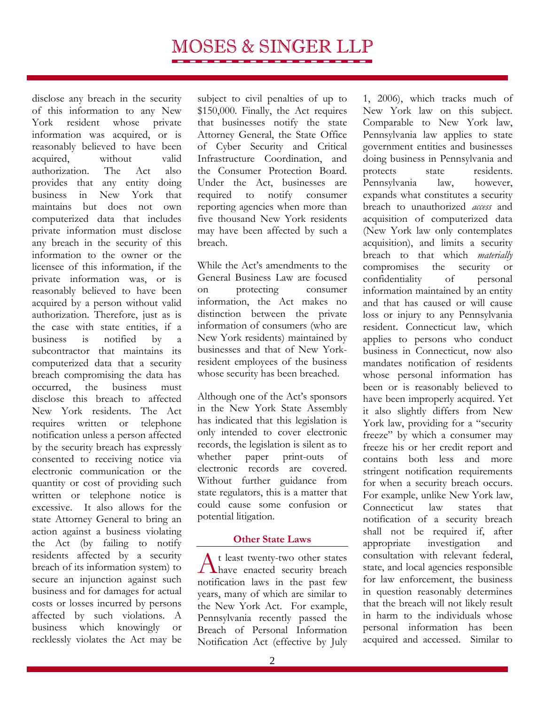disclose any breach in the security of this information to any New York resident whose private information was acquired, or is reasonably believed to have been acquired, without valid authorization. The Act also provides that any entity doing business in New York that maintains but does not own computerized data that includes private information must disclose any breach in the security of this information to the owner or the licensee of this information, if the private information was, or is reasonably believed to have been acquired by a person without valid authorization. Therefore, just as is the case with state entities, if a business is notified by a subcontractor that maintains its computerized data that a security breach compromising the data has occurred, the business must disclose this breach to affected New York residents. The Act requires written or telephone notification unless a person affected by the security breach has expressly consented to receiving notice via electronic communication or the quantity or cost of providing such written or telephone notice is excessive. It also allows for the state Attorney General to bring an action against a business violating the Act (by failing to notify residents affected by a security breach of its information system) to secure an injunction against such business and for damages for actual costs or losses incurred by persons affected by such violations. A business which knowingly or recklessly violates the Act may be

subject to civil penalties of up to \$150,000. Finally, the Act requires that businesses notify the state Attorney General, the State Office of Cyber Security and Critical Infrastructure Coordination, and the Consumer Protection Board. Under the Act, businesses are required to notify consumer reporting agencies when more than five thousand New York residents may have been affected by such a breach.

While the Act's amendments to the General Business Law are focused on protecting consumer information, the Act makes no distinction between the private information of consumers (who are New York residents) maintained by businesses and that of New Yorkresident employees of the business whose security has been breached.

Although one of the Act's sponsors in the New York State Assembly has indicated that this legislation is only intended to cover electronic records, the legislation is silent as to whether paper print-outs of electronic records are covered. Without further guidance from state regulators, this is a matter that could cause some confusion or potential litigation.

### **Other State Laws**

At least twenty-two other states<br>have enacted security breach notification laws in the past few years, many of which are similar to the New York Act. For example, Pennsylvania recently passed the Breach of Personal Information Notification Act (effective by July

1, 2006), which tracks much of New York law on this subject. Comparable to New York law, Pennsylvania law applies to state government entities and businesses doing business in Pennsylvania and protects state residents. Pennsylvania law, however, expands what constitutes a security breach to unauthorized *access* and acquisition of computerized data (New York law only contemplates acquisition), and limits a security breach to that which *materially*  compromises the security or confidentiality of personal information maintained by an entity and that has caused or will cause loss or injury to any Pennsylvania resident. Connecticut law, which applies to persons who conduct business in Connecticut, now also mandates notification of residents whose personal information has been or is reasonably believed to have been improperly acquired. Yet it also slightly differs from New York law, providing for a "security freeze" by which a consumer may freeze his or her credit report and contains both less and more stringent notification requirements for when a security breach occurs. For example, unlike New York law, Connecticut law states that notification of a security breach shall not be required if, after appropriate investigation and consultation with relevant federal, state, and local agencies responsible for law enforcement, the business in question reasonably determines that the breach will not likely result in harm to the individuals whose personal information has been acquired and accessed. Similar to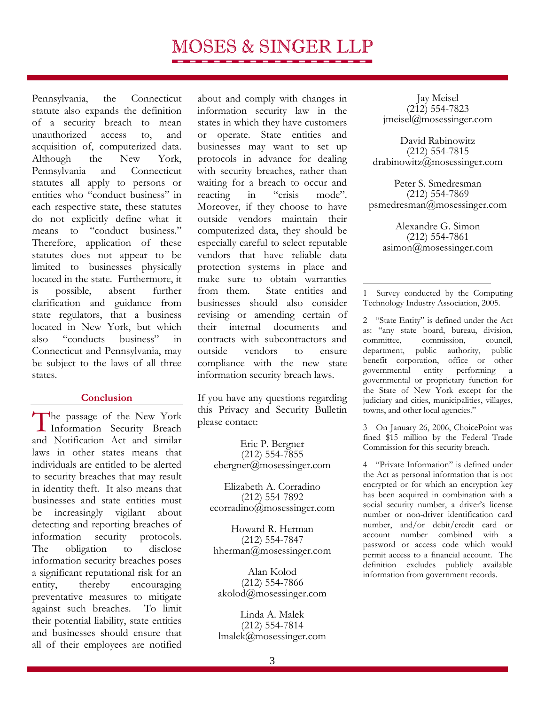<span id="page-2-1"></span>Pennsylvania, the Connecticut statute also expands the definition of a security breach to mean unauthorized access to, and acquisition of, computerized data. Although the New York, Pennsylvania and Connecticut statutes all apply to persons or entities who "conduct business" in each respective state, these statutes do not explicitly define what it means to "conduct business." Therefore, application of these statutes does not appear to be limited to businesses physically located in the state. Furthermore, it is possible, absent further clarification and guidance from state regulators, that a business located in New York, but which also "conducts business" in Connecticut and Pennsylvania, may be subject to the laws of all three states.

#### **Conclusion**

<span id="page-2-0"></span>The passage of the New York<br>Information Security Breach Information Security Breach and Notification Act and similar laws in other states means that individuals are entitled to be alerted to security breaches that may result in identity theft. It also means that businesses and state entities must be increasingly vigilant about detecting and reporting breaches of information security protocols. The obligation to disclose information security breaches poses a significant reputational risk for an entity, thereby encouraging preventative measures to mitigate against such breaches. To limit their potential liability, state entities and businesses should ensure that all of their employees are notified

about and comply with changes in information security law in the states in which they have customers or operate. State entities and businesses may want to set up protocols in advance for dealing with security breaches, rather than waiting for a breach to occur and reacting in "crisis mode". Moreover, if they choose to have outside vendors maintain their computerized data, they should be especially careful to select reputable vendors that have reliable data protection systems in place and make sure to obtain warranties from them. State entities and businesses should also consider revising or amending certain of their internal documents and contracts with subcontractors and outside vendors to ensure compliance with the new state information security breach laws.

If you have any questions regarding this Privacy and Security Bulletin please contact:

Eric P. Bergner (212) 554-7855 ebergner@mosessinger.com

Elizabeth A. Corradino (212) 554-7892 ecorradino@mosessinger.com

Howard R. Herman (212) 554-7847 hherman@mosessinger.com

Alan Kolod (212) 554-7866 akolod@mosessinger.com

Linda A. Malek (212) 554-7814 lmalek@mosessinger.com

Jay Meisel (212) 554-7823 jmeisel@mosessinger.com

David Rabinowitz (212) 554-7815 drabinowitz@mosessinger.com

Peter S. Smedresman (212) 554-7869 psmedresman@mosessinger.com

Alexandre G. Simon (212) 554-7861 asimon@mosessinger.com

1 Survey conducted by the Computing Technology Industry Association, 2005.

 $\overline{a}$ 

2 "State Entity" is defined under the Act as: "any state board, bureau, division, committee, commission, council, department, public authority, public benefit corporation, office or other governmental entity performing a governmental or proprietary function for the State of New York except for the judiciary and cities, municipalities, villages, towns, and other local agencies."

3 On January 26, 2006, ChoicePoint was fined \$15 million by the Federal Trade Commission for this security breach.

4 "Private Information" is defined under the Act as personal information that is not encrypted or for which an encryption key has been acquired in combination with a social security number, a driver's license number or non-driver identification card number, and/or debit/credit card or account number combined with a password or access code which would permit access to a financial account. The definition excludes publicly available information from government records.